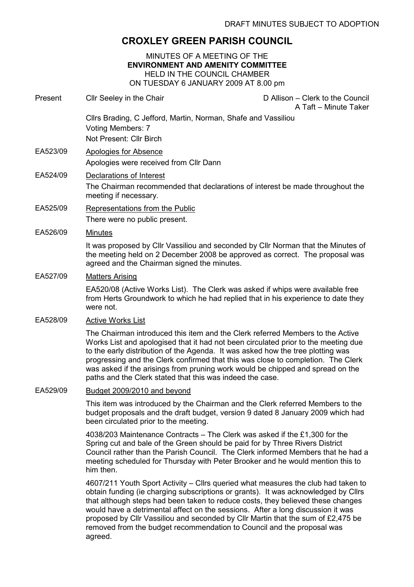## CROXLEY GREEN PARISH COUNCIL

MINUTES OF A MEETING OF THE ENVIRONMENT AND AMENITY COMMITTEE HELD IN THE COUNCIL CHAMBER ON TUESDAY 6 JANUARY 2009 AT 8.00 pm

Present Cllr Seeley in the Chair Chair D Allison – Clerk to the Council A Taft – Minute Taker Cllrs Brading, C Jefford, Martin, Norman, Shafe and Vassiliou Voting Members: 7 Not Present: Cllr Birch EA523/09 Apologies for Absence Apologies were received from Cllr Dann EA524/09 Declarations of Interest The Chairman recommended that declarations of interest be made throughout the meeting if necessary. EA525/09 Representations from the Public There were no public present. EA526/09 Minutes It was proposed by Cllr Vassiliou and seconded by Cllr Norman that the Minutes of the meeting held on 2 December 2008 be approved as correct. The proposal was agreed and the Chairman signed the minutes. EA527/09 Matters Arising EA520/08 (Active Works List). The Clerk was asked if whips were available free from Herts Groundwork to which he had replied that in his experience to date they were not. EA528/09 Active Works List The Chairman introduced this item and the Clerk referred Members to the Active Works List and apologised that it had not been circulated prior to the meeting due to the early distribution of the Agenda. It was asked how the tree plotting was progressing and the Clerk confirmed that this was close to completion. The Clerk was asked if the arisings from pruning work would be chipped and spread on the paths and the Clerk stated that this was indeed the case. EA529/09 Budget 2009/2010 and beyond This item was introduced by the Chairman and the Clerk referred Members to the budget proposals and the draft budget, version 9 dated 8 January 2009 which had been circulated prior to the meeting. 4038/203 Maintenance Contracts – The Clerk was asked if the £1,300 for the Spring cut and bale of the Green should be paid for by Three Rivers District Council rather than the Parish Council. The Clerk informed Members that he had a meeting scheduled for Thursday with Peter Brooker and he would mention this to

> 4607/211 Youth Sport Activity – Cllrs queried what measures the club had taken to obtain funding (ie charging subscriptions or grants). It was acknowledged by Cllrs that although steps had been taken to reduce costs, they believed these changes would have a detrimental affect on the sessions. After a long discussion it was proposed by Cllr Vassiliou and seconded by Cllr Martin that the sum of £2,475 be removed from the budget recommendation to Council and the proposal was agreed.

him then.